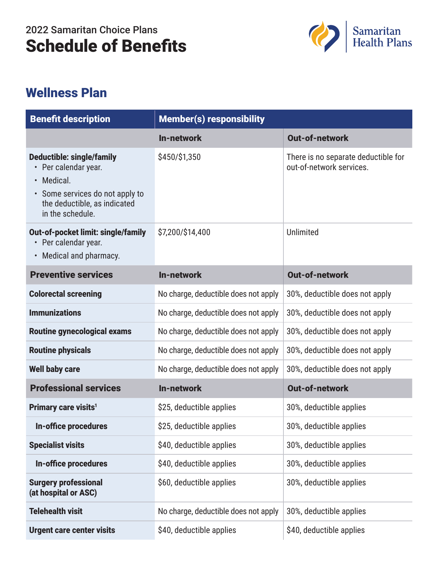## 2022 Samaritan Choice Plans Schedule of Benefits



## Wellness Plan

| <b>Benefit description</b>                                                                                                                                  | <b>Member(s) responsibility</b>      |                                                                 |
|-------------------------------------------------------------------------------------------------------------------------------------------------------------|--------------------------------------|-----------------------------------------------------------------|
|                                                                                                                                                             | In-network                           | <b>Out-of-network</b>                                           |
| <b>Deductible: single/family</b><br>• Per calendar year.<br>Medical.<br>• Some services do not apply to<br>the deductible, as indicated<br>in the schedule. | \$450/\$1,350                        | There is no separate deductible for<br>out-of-network services. |
| <b>Out-of-pocket limit: single/family</b><br>• Per calendar year.<br>Medical and pharmacy.                                                                  | \$7,200/\$14,400                     | Unlimited                                                       |
| <b>Preventive services</b>                                                                                                                                  | <b>In-network</b>                    | <b>Out-of-network</b>                                           |
| <b>Colorectal screening</b>                                                                                                                                 | No charge, deductible does not apply | 30%, deductible does not apply                                  |
| <b>Immunizations</b>                                                                                                                                        | No charge, deductible does not apply | 30%, deductible does not apply                                  |
| <b>Routine gynecological exams</b>                                                                                                                          | No charge, deductible does not apply | 30%, deductible does not apply                                  |
| <b>Routine physicals</b>                                                                                                                                    | No charge, deductible does not apply | 30%, deductible does not apply                                  |
| <b>Well baby care</b>                                                                                                                                       | No charge, deductible does not apply | 30%, deductible does not apply                                  |
| <b>Professional services</b>                                                                                                                                | In-network                           | <b>Out-of-network</b>                                           |
| Primary care visits <sup>1</sup>                                                                                                                            | \$25, deductible applies             | 30%, deductible applies                                         |
| In-office procedures                                                                                                                                        | \$25, deductible applies             | 30%, deductible applies                                         |
| <b>Specialist visits</b>                                                                                                                                    | \$40, deductible applies             | 30%, deductible applies                                         |
| <b>In-office procedures</b>                                                                                                                                 | \$40, deductible applies             | 30%, deductible applies                                         |
| <b>Surgery professional</b><br>(at hospital or ASC)                                                                                                         | \$60, deductible applies             | 30%, deductible applies                                         |
| <b>Telehealth visit</b>                                                                                                                                     | No charge, deductible does not apply | 30%, deductible applies                                         |
| <b>Urgent care center visits</b>                                                                                                                            | \$40, deductible applies             | \$40, deductible applies                                        |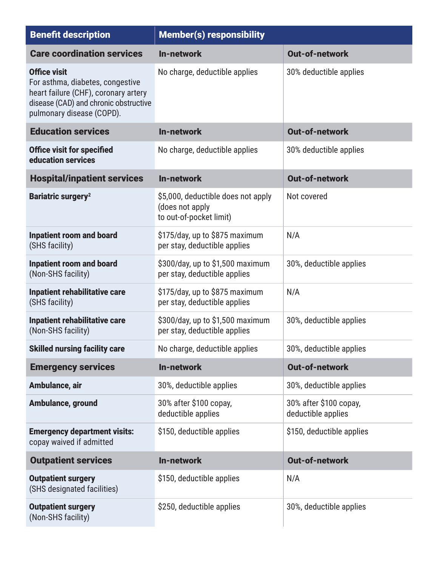| <b>Benefit description</b>                                                                                                                                            | <b>Member(s) responsibility</b>                                                  |                                              |
|-----------------------------------------------------------------------------------------------------------------------------------------------------------------------|----------------------------------------------------------------------------------|----------------------------------------------|
| <b>Care coordination services</b>                                                                                                                                     | In-network                                                                       | <b>Out-of-network</b>                        |
| <b>Office visit</b><br>For asthma, diabetes, congestive<br>heart failure (CHF), coronary artery<br>disease (CAD) and chronic obstructive<br>pulmonary disease (COPD). | No charge, deductible applies                                                    | 30% deductible applies                       |
| <b>Education services</b>                                                                                                                                             | <b>In-network</b>                                                                | <b>Out-of-network</b>                        |
| <b>Office visit for specified</b><br>education services                                                                                                               | No charge, deductible applies                                                    | 30% deductible applies                       |
| <b>Hospital/inpatient services</b>                                                                                                                                    | In-network                                                                       | <b>Out-of-network</b>                        |
| <b>Bariatric surgery<sup>2</sup></b>                                                                                                                                  | \$5,000, deductible does not apply<br>(does not apply<br>to out-of-pocket limit) | Not covered                                  |
| <b>Inpatient room and board</b><br>(SHS facility)                                                                                                                     | \$175/day, up to \$875 maximum<br>per stay, deductible applies                   | N/A                                          |
| <b>Inpatient room and board</b><br>(Non-SHS facility)                                                                                                                 | \$300/day, up to \$1,500 maximum<br>per stay, deductible applies                 | 30%, deductible applies                      |
| <b>Inpatient rehabilitative care</b><br>(SHS facility)                                                                                                                | \$175/day, up to \$875 maximum<br>per stay, deductible applies                   | N/A                                          |
| <b>Inpatient rehabilitative care</b><br>(Non-SHS facility)                                                                                                            | \$300/day, up to \$1,500 maximum<br>per stay, deductible applies                 | 30%, deductible applies                      |
| <b>Skilled nursing facility care</b>                                                                                                                                  | No charge, deductible applies                                                    | 30%, deductible applies                      |
| <b>Emergency services</b>                                                                                                                                             | <b>In-network</b>                                                                | <b>Out-of-network</b>                        |
| Ambulance, air                                                                                                                                                        | 30%, deductible applies                                                          | 30%, deductible applies                      |
| Ambulance, ground                                                                                                                                                     | 30% after \$100 copay,<br>deductible applies                                     | 30% after \$100 copay,<br>deductible applies |
| <b>Emergency department visits:</b><br>copay waived if admitted                                                                                                       | \$150, deductible applies                                                        | \$150, deductible applies                    |
| <b>Outpatient services</b>                                                                                                                                            | <b>In-network</b>                                                                | <b>Out-of-network</b>                        |
| <b>Outpatient surgery</b><br>(SHS designated facilities)                                                                                                              | \$150, deductible applies                                                        | N/A                                          |
| <b>Outpatient surgery</b><br>(Non-SHS facility)                                                                                                                       | \$250, deductible applies                                                        | 30%, deductible applies                      |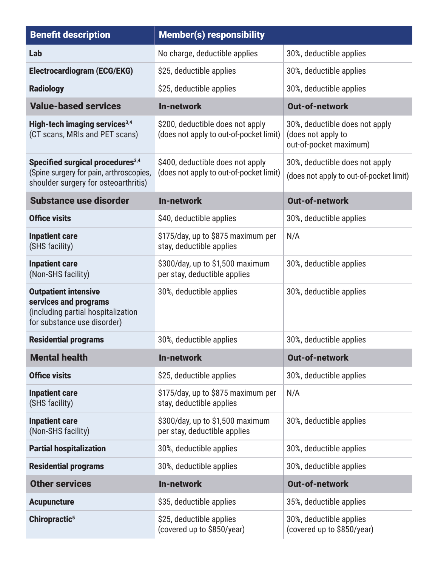| <b>Benefit description</b>                                                                                                      | <b>Member(s) responsibility</b>                                             |                                                                                |
|---------------------------------------------------------------------------------------------------------------------------------|-----------------------------------------------------------------------------|--------------------------------------------------------------------------------|
| Lab                                                                                                                             | No charge, deductible applies                                               | 30%, deductible applies                                                        |
| <b>Electrocardiogram (ECG/EKG)</b>                                                                                              | \$25, deductible applies                                                    | 30%, deductible applies                                                        |
| <b>Radiology</b>                                                                                                                | \$25, deductible applies                                                    | 30%, deductible applies                                                        |
| <b>Value-based services</b>                                                                                                     | <b>In-network</b>                                                           | <b>Out-of-network</b>                                                          |
| High-tech imaging services <sup>3,4</sup><br>(CT scans, MRIs and PET scans)                                                     | \$200, deductible does not apply<br>(does not apply to out-of-pocket limit) | 30%, deductible does not apply<br>(does not apply to<br>out-of-pocket maximum) |
| Specified surgical procedures <sup>3,4</sup><br>(Spine surgery for pain, arthroscopies,<br>shoulder surgery for osteoarthritis) | \$400, deductible does not apply<br>(does not apply to out-of-pocket limit) | 30%, deductible does not apply<br>(does not apply to out-of-pocket limit)      |
| <b>Substance use disorder</b>                                                                                                   | <b>In-network</b>                                                           | <b>Out-of-network</b>                                                          |
| <b>Office visits</b>                                                                                                            | \$40, deductible applies                                                    | 30%, deductible applies                                                        |
| <b>Inpatient care</b><br>(SHS facility)                                                                                         | \$175/day, up to \$875 maximum per<br>stay, deductible applies              | N/A                                                                            |
| <b>Inpatient care</b><br>(Non-SHS facility)                                                                                     | \$300/day, up to \$1,500 maximum<br>per stay, deductible applies            | 30%, deductible applies                                                        |
| <b>Outpatient intensive</b><br>services and programs<br>(including partial hospitalization<br>for substance use disorder)       | 30%, deductible applies                                                     | 30%, deductible applies                                                        |
| <b>Residential programs</b>                                                                                                     | 30%, deductible applies                                                     | 30%, deductible applies                                                        |
| <b>Mental health</b>                                                                                                            | In-network                                                                  | <b>Out-of-network</b>                                                          |
| <b>Office visits</b>                                                                                                            | \$25, deductible applies                                                    | 30%, deductible applies                                                        |
| <b>Inpatient care</b><br>(SHS facility)                                                                                         | \$175/day, up to \$875 maximum per<br>stay, deductible applies              | N/A                                                                            |
| <b>Inpatient care</b><br>(Non-SHS facility)                                                                                     | \$300/day, up to \$1,500 maximum<br>per stay, deductible applies            | 30%, deductible applies                                                        |
| <b>Partial hospitalization</b>                                                                                                  | 30%, deductible applies                                                     | 30%, deductible applies                                                        |
| <b>Residential programs</b>                                                                                                     | 30%, deductible applies                                                     | 30%, deductible applies                                                        |
| <b>Other services</b>                                                                                                           | In-network                                                                  | <b>Out-of-network</b>                                                          |
| <b>Acupuncture</b>                                                                                                              | \$35, deductible applies                                                    | 35%, deductible applies                                                        |
| Chiropractic <sup>5</sup>                                                                                                       | \$25, deductible applies<br>(covered up to \$850/year)                      | 30%, deductible applies<br>(covered up to \$850/year)                          |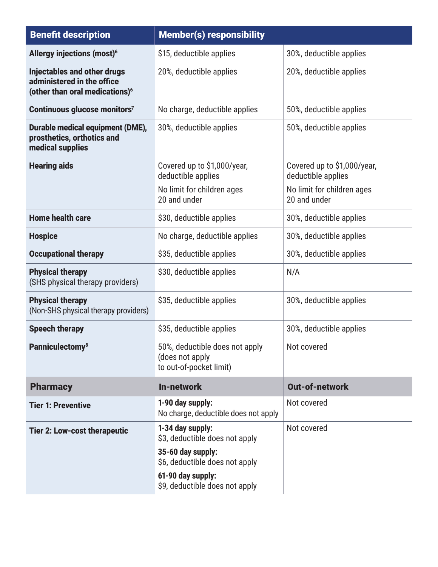| <b>Benefit description</b>                                                                                     | <b>Member(s) responsibility</b>                                                                           |                                                                                                 |
|----------------------------------------------------------------------------------------------------------------|-----------------------------------------------------------------------------------------------------------|-------------------------------------------------------------------------------------------------|
| <b>Allergy injections (most)<sup>6</sup></b>                                                                   | \$15, deductible applies                                                                                  | 30%, deductible applies                                                                         |
| <b>Injectables and other drugs</b><br>administered in the office<br>(other than oral medications) <sup>6</sup> | 20%, deductible applies                                                                                   | 20%, deductible applies                                                                         |
| Continuous glucose monitors7                                                                                   | No charge, deductible applies                                                                             | 50%, deductible applies                                                                         |
| <b>Durable medical equipment (DME),</b><br>prosthetics, orthotics and<br>medical supplies                      | 30%, deductible applies                                                                                   | 50%, deductible applies                                                                         |
| <b>Hearing aids</b>                                                                                            | Covered up to \$1,000/year,<br>deductible applies<br>No limit for children ages<br>20 and under           | Covered up to \$1,000/year,<br>deductible applies<br>No limit for children ages<br>20 and under |
| <b>Home health care</b>                                                                                        | \$30, deductible applies                                                                                  | 30%, deductible applies                                                                         |
| <b>Hospice</b>                                                                                                 | No charge, deductible applies                                                                             | 30%, deductible applies                                                                         |
| <b>Occupational therapy</b>                                                                                    | \$35, deductible applies                                                                                  | 30%, deductible applies                                                                         |
| <b>Physical therapy</b><br>(SHS physical therapy providers)                                                    | \$30, deductible applies                                                                                  | N/A                                                                                             |
| <b>Physical therapy</b><br>(Non-SHS physical therapy providers)                                                | \$35, deductible applies                                                                                  | 30%, deductible applies                                                                         |
| <b>Speech therapy</b>                                                                                          | \$35, deductible applies                                                                                  | 30%, deductible applies                                                                         |
| <b>Panniculectomy<sup>8</sup></b>                                                                              | 50%, deductible does not apply<br>(does not apply<br>to out-of-pocket limit)                              | Not covered                                                                                     |
| <b>Pharmacy</b>                                                                                                | In-network                                                                                                | <b>Out-of-network</b>                                                                           |
| <b>Tier 1: Preventive</b>                                                                                      | 1-90 day supply:<br>No charge, deductible does not apply                                                  | Not covered                                                                                     |
| <b>Tier 2: Low-cost therapeutic</b>                                                                            | 1-34 day supply:<br>\$3, deductible does not apply<br>35-60 day supply:<br>\$6, deductible does not apply | Not covered                                                                                     |
|                                                                                                                | 61-90 day supply:<br>\$9, deductible does not apply                                                       |                                                                                                 |